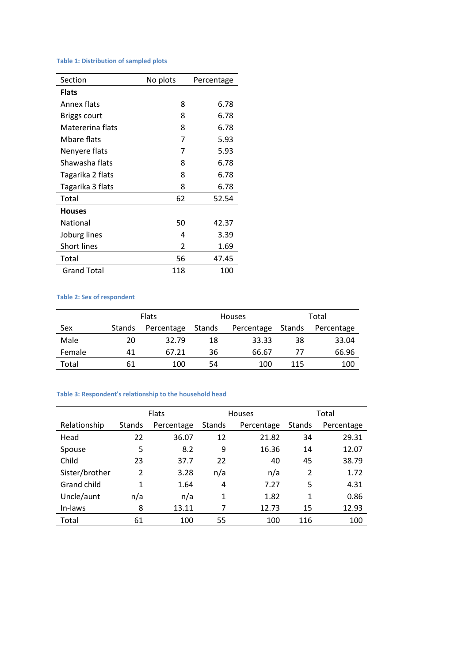# **Table 1: Distribution of sampled plots**

| Section            | No plots | Percentage |
|--------------------|----------|------------|
| <b>Flats</b>       |          |            |
| Annex flats        | 8        | 6.78       |
| Briggs court       | 8        | 6.78       |
| Matererina flats   | 8        | 6.78       |
| Mbare flats        | 7        | 5.93       |
| Nenyere flats      | 7        | 5.93       |
| Shawasha flats     | 8        | 6.78       |
| Tagarika 2 flats   | 8        | 6.78       |
| Tagarika 3 flats   | 8        | 6.78       |
| Total              | 62       | 52.54      |
| <b>Houses</b>      |          |            |
| National           | 50       | 42.37      |
| Joburg lines       | 4        | 3.39       |
| <b>Short lines</b> | 2        | 1.69       |
| Total              | 56       | 47.45      |
| <b>Grand Total</b> | 118      | 100        |

# **Table 2: Sex of respondent**

|        |               | <b>Flats</b> |        | <b>Houses</b> |        | Total      |
|--------|---------------|--------------|--------|---------------|--------|------------|
| Sex    | <b>Stands</b> | Percentage   | Stands | Percentage    | Stands | Percentage |
| Male   | 20            | 32.79        | 18     | 33.33         | 38     | 33.04      |
| Female | 41            | 67.21        | 36     | 66.67         | 77     | 66.96      |
| Total  | 61            | 100          | 54     | 100           | 115    | 100        |

# **Table 3: Respondent's relationship to the household head**

|                    |                | <b>Flats</b> |        | <b>Houses</b> |               | Total      |
|--------------------|----------------|--------------|--------|---------------|---------------|------------|
| Relationship       | <b>Stands</b>  | Percentage   | Stands | Percentage    | <b>Stands</b> | Percentage |
| Head               | 22             | 36.07        | 12     | 21.82         | 34            | 29.31      |
| Spouse             | 5              | 8.2          | 9      | 16.36         | 14            | 12.07      |
| Child              | 23             | 37.7         | 22     | 40            | 45            | 38.79      |
| Sister/brother     | $\overline{2}$ | 3.28         | n/a    | n/a           | 2             | 1.72       |
| <b>Grand child</b> | 1              | 1.64         | 4      | 7.27          | 5             | 4.31       |
| Uncle/aunt         | n/a            | n/a          | 1      | 1.82          | 1             | 0.86       |
| In-laws            | 8              | 13.11        | 7      | 12.73         | 15            | 12.93      |
| Total              | 61             | 100          | 55     | 100           | 116           | 100        |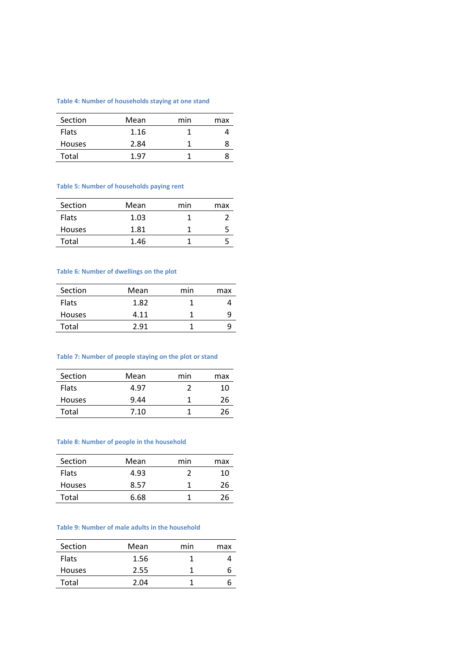### **Table 4: Number of households staying at one stand**

| Section       | Mean | min | max |
|---------------|------|-----|-----|
| <b>Flats</b>  | 1.16 |     |     |
| <b>Houses</b> | 2.84 |     | 8   |
| Total         | 1.97 |     |     |

# **Table 5: Number of households paying rent**

| Section       | Mean | min | max |
|---------------|------|-----|-----|
| <b>Flats</b>  | 1.03 |     |     |
| <b>Houses</b> | 1.81 |     |     |
| Total         | 1.46 |     |     |

### **Table 6: Number of dwellings on the plot**

| Section       | Mean | min | max |
|---------------|------|-----|-----|
| <b>Flats</b>  | 1.82 |     |     |
| <b>Houses</b> | 4.11 |     |     |
| Total         | 2.91 |     |     |

# **Table 7: Number of people staying on the plot or stand**

| Section       | Mean | min | max |
|---------------|------|-----|-----|
| <b>Flats</b>  | 4.97 |     | 10  |
| <b>Houses</b> | 9.44 |     | 26  |
| Total         | 7.10 |     | 26  |
|               |      |     |     |

#### **Table 8: Number of people in the household**

| Section       | Mean | min | max |
|---------------|------|-----|-----|
| <b>Flats</b>  | 4.93 |     | 10  |
| <b>Houses</b> | 8.57 |     | 26  |
| Total         | 6.68 |     | 26  |

### **Table 9: Number of male adults in the household**

| Mean | min | max |
|------|-----|-----|
| 1.56 |     |     |
| 2.55 |     |     |
| 2.04 |     |     |
|      |     |     |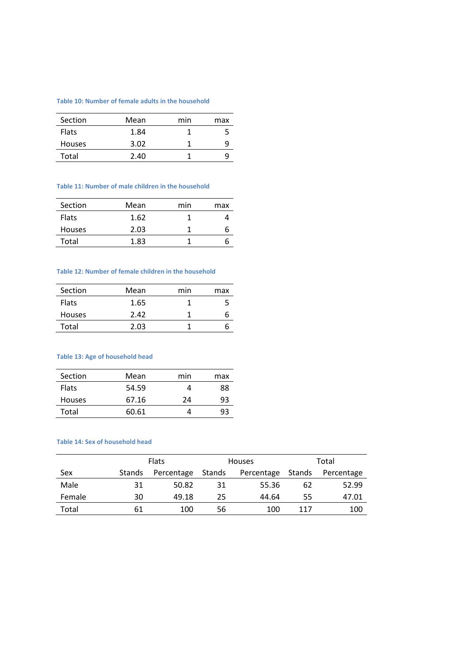### **Table 10: Number of female adults in the household**

| Section       | Mean | min | max |
|---------------|------|-----|-----|
| <b>Flats</b>  | 1.84 |     | ל   |
| <b>Houses</b> | 3.02 |     | q   |
| Total         | 2.40 |     | u   |

#### **Table 11: Number of male children in the household**

| Section       | Mean | min | max |
|---------------|------|-----|-----|
| <b>Flats</b>  | 1.62 |     |     |
| <b>Houses</b> | 2.03 |     |     |
| Total         | 1.83 |     |     |

### **Table 12: Number of female children in the household**

| Section       | Mean | min | max |
|---------------|------|-----|-----|
| <b>Flats</b>  | 1.65 |     |     |
| <b>Houses</b> | 2.42 |     |     |
| Total         | 2.03 |     |     |

# **Table 13: Age of household head**

| Section       | Mean  | min | max |
|---------------|-------|-----|-----|
| <b>Flats</b>  | 54.59 |     | 88  |
| <b>Houses</b> | 67.16 | 24  | 93  |
| Total         | 60.61 |     | qз  |
|               |       |     |     |

#### **Table 14: Sex of household head**

|        |        | <b>Flats</b> |        | <b>Houses</b> | Total  |            |  |
|--------|--------|--------------|--------|---------------|--------|------------|--|
| Sex    | Stands | Percentage   | Stands | Percentage    | Stands | Percentage |  |
| Male   | 31     | 50.82        | 31     | 55.36         | 62     | 52.99      |  |
| Female | 30     | 49.18        | 25     | 44.64         | 55     | 47.01      |  |
| Total  | 61     | 100          | 56     | 100           | 117    | 100        |  |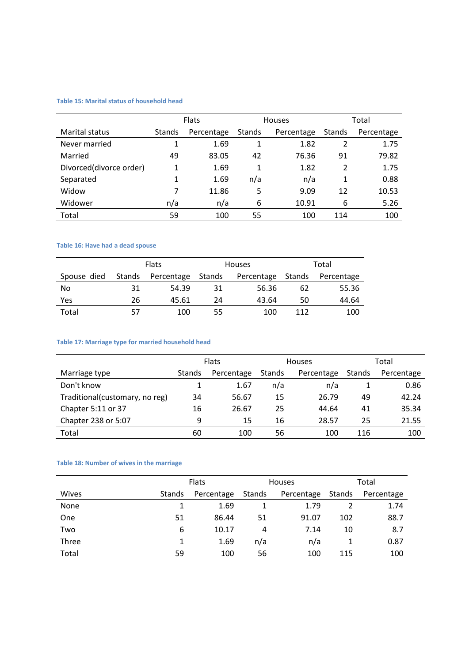# **Table 15: Marital status of household head**

|                         | <b>Flats</b>  |            |               | <b>Houses</b> | Total          |            |
|-------------------------|---------------|------------|---------------|---------------|----------------|------------|
| <b>Marital status</b>   | <b>Stands</b> | Percentage | <b>Stands</b> | Percentage    | <b>Stands</b>  | Percentage |
| Never married           |               | 1.69       | 1             | 1.82          | 2              | 1.75       |
| Married                 | 49            | 83.05      | 42            | 76.36         | 91             | 79.82      |
| Divorced(divorce order) | 1             | 1.69       | 1             | 1.82          | $\overline{2}$ | 1.75       |
| Separated               | 1             | 1.69       | n/a           | n/a           | 1              | 0.88       |
| Widow                   | 7             | 11.86      | 5             | 9.09          | 12             | 10.53      |
| Widower                 | n/a           | n/a        | 6             | 10.91         | 6              | 5.26       |
| Total                   | 59            | 100        | 55            | 100           | 114            | 100        |

# **Table 16: Have had a dead spouse**

|             |               | <b>Flats</b> |        | <b>Houses</b> | Total  |            |  |
|-------------|---------------|--------------|--------|---------------|--------|------------|--|
| Spouse died | <b>Stands</b> | Percentage   | Stands | Percentage    | Stands | Percentage |  |
| No.         | 31            | 54.39        | 31     | 56.36         | 62     | 55.36      |  |
| Yes         | 26            | 45.61        | 24     | 43.64         | 50     | 44.64      |  |
| Total       |               | 100          | 55     | 100           | 112    | 100        |  |

# **Table 17: Marriage type for married household head**

|                                | <b>Flats</b> |            | <b>Houses</b> |            | Total  |            |
|--------------------------------|--------------|------------|---------------|------------|--------|------------|
| Marriage type                  | Stands       | Percentage | <b>Stands</b> | Percentage | Stands | Percentage |
| Don't know                     |              | 1.67       | n/a           | n/a        |        | 0.86       |
| Traditional(customary, no reg) | 34           | 56.67      | 15            | 26.79      | 49     | 42.24      |
| Chapter 5:11 or 37             | 16           | 26.67      | 25            | 44.64      | 41     | 35.34      |
| Chapter 238 or 5:07            | 9            | 15         | 16            | 28.57      | 25     | 21.55      |
| Total                          | 60           | 100        | 56            | 100        | 116    | 100        |

# **Table 18: Number of wives in the marriage**

|       | <b>Flats</b> |            |        | <b>Houses</b> | Total  |            |
|-------|--------------|------------|--------|---------------|--------|------------|
| Wives | Stands       | Percentage | Stands | Percentage    | Stands | Percentage |
| None  |              | 1.69       |        | 1.79          |        | 1.74       |
| One   | 51           | 86.44      | 51     | 91.07         | 102    | 88.7       |
| Two   | 6            | 10.17      | 4      | 7.14          | 10     | 8.7        |
| Three |              | 1.69       | n/a    | n/a           |        | 0.87       |
| Total | 59           | 100        | 56     | 100           | 115    | 100        |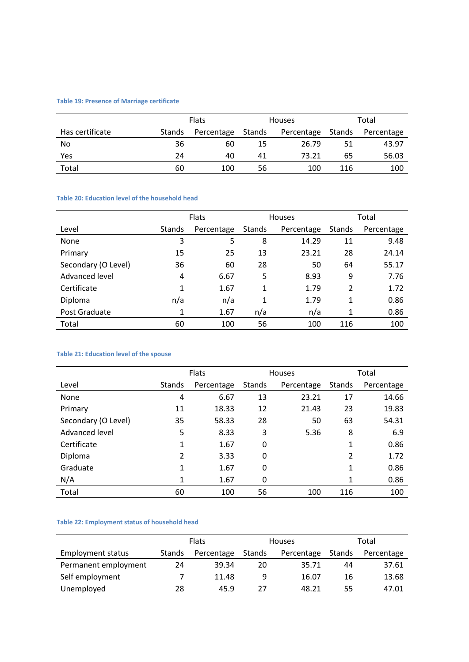# **Table 19: Presence of Marriage certificate**

|                 |        | <b>Flats</b> |        | <b>Houses</b> |        | Total      |  |
|-----------------|--------|--------------|--------|---------------|--------|------------|--|
| Has certificate | Stands | Percentage   | Stands | Percentage    | Stands | Percentage |  |
| No              | 36     | 60           | 15     | 26.79         | 51     | 43.97      |  |
| Yes             | 24     | 40           | 41     | 73.21         | 65     | 56.03      |  |
| Total           | 60     | 100          | 56     | 100           | 116    | 100        |  |

# **Table 20: Education level of the household head**

|                     | <b>Flats</b> |            |        | <b>Houses</b> | Total  |            |
|---------------------|--------------|------------|--------|---------------|--------|------------|
| Level               | Stands       | Percentage | Stands | Percentage    | Stands | Percentage |
| None                | 3            | 5          | 8      | 14.29         | 11     | 9.48       |
| Primary             | 15           | 25         | 13     | 23.21         | 28     | 24.14      |
| Secondary (O Level) | 36           | 60         | 28     | 50            | 64     | 55.17      |
| Advanced level      | 4            | 6.67       | 5      | 8.93          | 9      | 7.76       |
| Certificate         | 1            | 1.67       | 1      | 1.79          | 2      | 1.72       |
| <b>Diploma</b>      | n/a          | n/a        | 1      | 1.79          | 1      | 0.86       |
| Post Graduate       | 1            | 1.67       | n/a    | n/a           | 1      | 0.86       |
| Total               | 60           | 100        | 56     | 100           | 116    | 100        |

# **Table 21: Education level of the spouse**

|                     | Flats          |            |        | <b>Houses</b> | Total          |            |
|---------------------|----------------|------------|--------|---------------|----------------|------------|
| Level               | Stands         | Percentage | Stands | Percentage    | Stands         | Percentage |
| None                | 4              | 6.67       | 13     | 23.21         | 17             | 14.66      |
| Primary             | 11             | 18.33      | 12     | 21.43         | 23             | 19.83      |
| Secondary (O Level) | 35             | 58.33      | 28     | 50            | 63             | 54.31      |
| Advanced level      | 5              | 8.33       | 3      | 5.36          | 8              | 6.9        |
| Certificate         | 1              | 1.67       | 0      |               | 1              | 0.86       |
| Diploma             | $\overline{2}$ | 3.33       | 0      |               | $\overline{2}$ | 1.72       |
| Graduate            | 1              | 1.67       | 0      |               | 1              | 0.86       |
| N/A                 | 1              | 1.67       | 0      |               | 1              | 0.86       |
| Total               | 60             | 100        | 56     | 100           | 116            | 100        |

# **Table 22: Employment status of household head**

|                          | <b>Flats</b> |            | <b>Houses</b> |            | Total  |            |
|--------------------------|--------------|------------|---------------|------------|--------|------------|
| <b>Employment status</b> | Stands       | Percentage | Stands        | Percentage | Stands | Percentage |
| Permanent employment     | 24           | 39.34      | 20            | 35.71      | 44     | 37.61      |
| Self employment          |              | 11.48      | 9             | 16.07      | 16     | 13.68      |
| Unemployed               | 28           | 45.9       | 27            | 48.21      | 55     | 47.01      |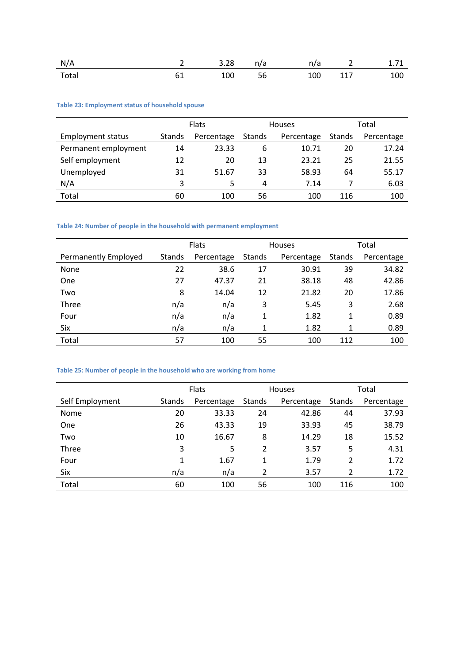| N/A   |    | 3.28 | n/a | 11/d | —                 | - -<br><b>1.7 T</b> |
|-------|----|------|-----|------|-------------------|---------------------|
| Total | ᇰᅩ | 100  | 56  | 100  | $\sim$ $-$<br>--- | 100                 |

# **Table 23: Employment status of household spouse**

|                          | <b>Flats</b> |            |        | <b>Houses</b> | Total  |            |
|--------------------------|--------------|------------|--------|---------------|--------|------------|
| <b>Employment status</b> | Stands       | Percentage | Stands | Percentage    | Stands | Percentage |
| Permanent employment     | 14           | 23.33      | 6      | 10.71         | 20     | 17.24      |
| Self employment          | 12           | 20         | 13     | 23.21         | 25     | 21.55      |
| Unemployed               | 31           | 51.67      | 33     | 58.93         | 64     | 55.17      |
| N/A                      | 3            | 5          | 4      | 7.14          |        | 6.03       |
| Total                    | 60           | 100        | 56     | 100           | 116    | 100        |

# **Table 24: Number of people in the household with permanent employment**

|                      | <b>Flats</b>  |            |        | Houses     | Total  |            |
|----------------------|---------------|------------|--------|------------|--------|------------|
| Permanently Employed | <b>Stands</b> | Percentage | Stands | Percentage | Stands | Percentage |
| None                 | 22            | 38.6       | 17     | 30.91      | 39     | 34.82      |
| One                  | 27            | 47.37      | 21     | 38.18      | 48     | 42.86      |
| Two                  | 8             | 14.04      | 12     | 21.82      | 20     | 17.86      |
| <b>Three</b>         | n/a           | n/a        | 3      | 5.45       | 3      | 2.68       |
| Four                 | n/a           | n/a        | 1      | 1.82       | 1      | 0.89       |
| Six                  | n/a           | n/a        | 1      | 1.82       | 1      | 0.89       |
| Total                | 57            | 100        | 55     | 100        | 112    | 100        |

# **Table 25: Number of people in the household who are working from home**

|                 | <b>Flats</b>  |            |                | <b>Houses</b> | Total         |            |
|-----------------|---------------|------------|----------------|---------------|---------------|------------|
| Self Employment | <b>Stands</b> | Percentage | Stands         | Percentage    | <b>Stands</b> | Percentage |
| <b>Nome</b>     | 20            | 33.33      | 24             | 42.86         | 44            | 37.93      |
| One             | 26            | 43.33      | 19             | 33.93         | 45            | 38.79      |
| Two             | 10            | 16.67      | 8              | 14.29         | 18            | 15.52      |
| Three           | 3             | 5          | $\overline{2}$ | 3.57          | 5             | 4.31       |
| Four            | 1             | 1.67       | 1              | 1.79          | 2             | 1.72       |
| Six             | n/a           | n/a        | 2              | 3.57          | 2             | 1.72       |
| Total           | 60            | 100        | 56             | 100           | 116           | 100        |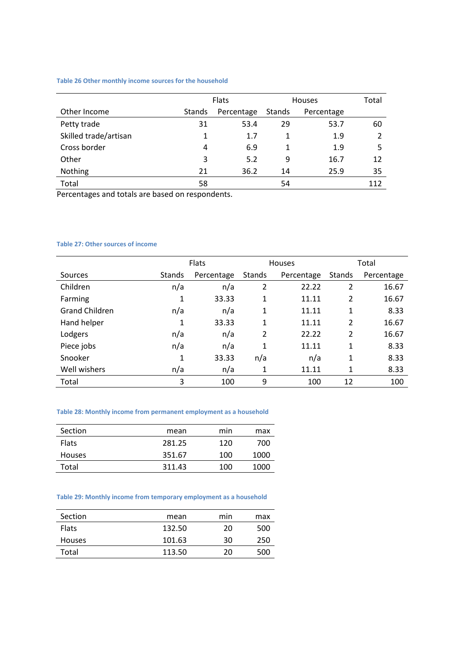### **Table 26 Other monthly income sources for the household**

|                       | <b>Flats</b>  |            |               | <b>Houses</b> | Total |
|-----------------------|---------------|------------|---------------|---------------|-------|
| Other Income          | <b>Stands</b> | Percentage | <b>Stands</b> | Percentage    |       |
| Petty trade           | 31            | 53.4       | 29            | 53.7          | 60    |
| Skilled trade/artisan | 1             | 1.7        | 1             | 1.9           |       |
| Cross border          | 4             | 6.9        | 1             | 1.9           | 5     |
| Other                 | 3             | 5.2        | 9             | 16.7          | 12    |
| Nothing               | 21            | 36.2       | 14            | 25.9          | 35    |
| Total                 | 58            |            | 54            |               | 112   |

Percentages and totals are based on respondents.

### **Table 27: Other sources of income**

|                       |               | <b>Flats</b> |               | Houses     | Total          |            |
|-----------------------|---------------|--------------|---------------|------------|----------------|------------|
| Sources               | <b>Stands</b> | Percentage   | <b>Stands</b> | Percentage | <b>Stands</b>  | Percentage |
| Children              | n/a           | n/a          | 2             | 22.22      | 2              | 16.67      |
| Farming               | 1             | 33.33        | 1             | 11.11      | $\overline{2}$ | 16.67      |
| <b>Grand Children</b> | n/a           | n/a          | 1             | 11.11      | 1              | 8.33       |
| Hand helper           | 1             | 33.33        | 1             | 11.11      | 2              | 16.67      |
| Lodgers               | n/a           | n/a          | 2             | 22.22      | $\overline{2}$ | 16.67      |
| Piece jobs            | n/a           | n/a          | 1             | 11.11      | 1              | 8.33       |
| Snooker               | 1             | 33.33        | n/a           | n/a        | 1              | 8.33       |
| Well wishers          | n/a           | n/a          | 1             | 11.11      | 1              | 8.33       |
| Total                 | 3             | 100          | 9             | 100        | 12             | 100        |

#### **Table 28: Monthly income from permanent employment as a household**

| Section       | mean   | min | max  |
|---------------|--------|-----|------|
| <b>Flats</b>  | 281.25 | 120 | 700  |
| <b>Houses</b> | 351.67 | 100 | 1000 |
| Total         | 311.43 | 100 | 1000 |
|               |        |     |      |

# **Table 29: Monthly income from temporary employment as a household**

| Section       | mean   | min | max |
|---------------|--------|-----|-----|
| <b>Flats</b>  | 132.50 | 20  | 500 |
| <b>Houses</b> | 101.63 | 30  | 250 |
| Total         | 113.50 | 20  | 500 |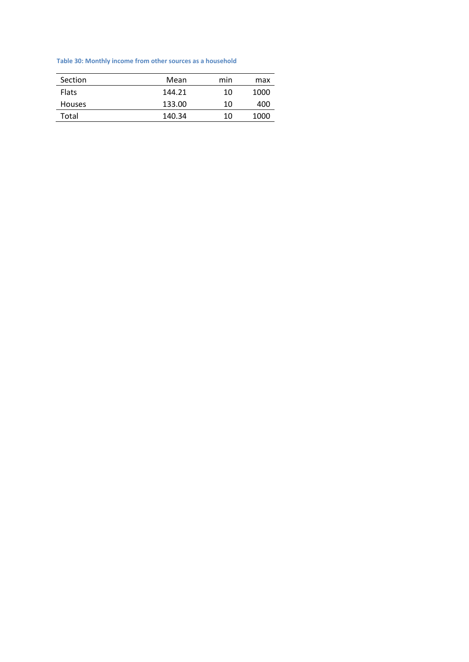# **Table 30: Monthly income from other sources as a household**

| Section       | Mean   | min | max  |
|---------------|--------|-----|------|
| <b>Flats</b>  | 144.21 | 10  | 1000 |
| <b>Houses</b> | 133.00 | 10  | 400  |
| Total         | 140.34 | 10  | 1000 |
|               |        |     |      |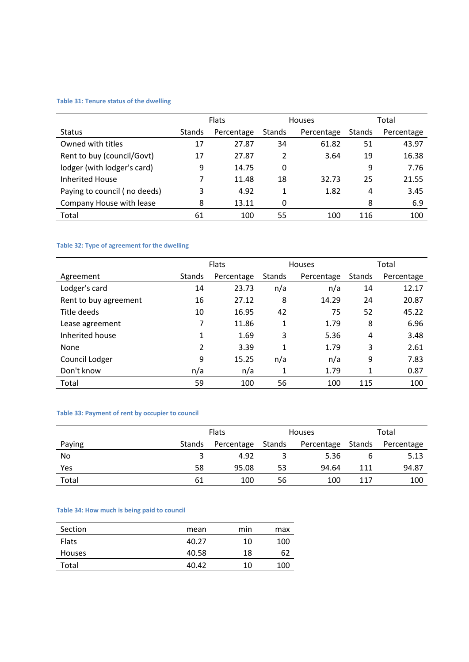# **Table 31: Tenure status of the dwelling**

|                              | <b>Flats</b>  |            | <b>Houses</b> |            | Total  |            |
|------------------------------|---------------|------------|---------------|------------|--------|------------|
| <b>Status</b>                | <b>Stands</b> | Percentage | Stands        | Percentage | Stands | Percentage |
| Owned with titles            | 17            | 27.87      | 34            | 61.82      | 51     | 43.97      |
| Rent to buy (council/Govt)   | 17            | 27.87      | 2             | 3.64       | 19     | 16.38      |
| lodger (with lodger's card)  | 9             | 14.75      | 0             |            | 9      | 7.76       |
| <b>Inherited House</b>       |               | 11.48      | 18            | 32.73      | 25     | 21.55      |
| Paying to council (no deeds) | 3             | 4.92       | 1             | 1.82       | 4      | 3.45       |
| Company House with lease     | 8             | 13.11      | 0             |            | 8      | 6.9        |
| Total                        | 61            | 100        | 55            | 100        | 116    | 100        |

# **Table 32: Type of agreement for the dwelling**

|                       | <b>Flats</b>  |            | <b>Houses</b> |            | Total  |            |
|-----------------------|---------------|------------|---------------|------------|--------|------------|
| Agreement             | <b>Stands</b> | Percentage | <b>Stands</b> | Percentage | Stands | Percentage |
| Lodger's card         | 14            | 23.73      | n/a           | n/a        | 14     | 12.17      |
| Rent to buy agreement | 16            | 27.12      | 8             | 14.29      | 24     | 20.87      |
| Title deeds           | 10            | 16.95      | 42            | 75         | 52     | 45.22      |
| Lease agreement       | 7             | 11.86      | 1             | 1.79       | 8      | 6.96       |
| Inherited house       | 1             | 1.69       | 3             | 5.36       | 4      | 3.48       |
| None                  | 2             | 3.39       | 1             | 1.79       | 3      | 2.61       |
| Council Lodger        | 9             | 15.25      | n/a           | n/a        | 9      | 7.83       |
| Don't know            | n/a           | n/a        | 1             | 1.79       | 1      | 0.87       |
| Total                 | 59            | 100        | 56            | 100        | 115    | 100        |

# **Table 33: Payment of rent by occupier to council**

|        | <b>Flats</b> |            | <b>Houses</b> |                   | Total |            |
|--------|--------------|------------|---------------|-------------------|-------|------------|
| Paying | Stands       | Percentage | Stands        | Percentage Stands |       | Percentage |
| No     |              | 4.92       |               | 5.36              |       | 5.13       |
| Yes    | 58           | 95.08      | 53            | 94.64             | 111   | 94.87      |
| Total  | 61           | 100        | 56            | 100               | 117   | 100        |

### **Table 34: How much is being paid to council**

| Section       | mean  | min | max |
|---------------|-------|-----|-----|
| <b>Flats</b>  | 40.27 | 10  | 100 |
| <b>Houses</b> | 40.58 | 18  | 62  |
| Total         | 40.42 | 10  | 100 |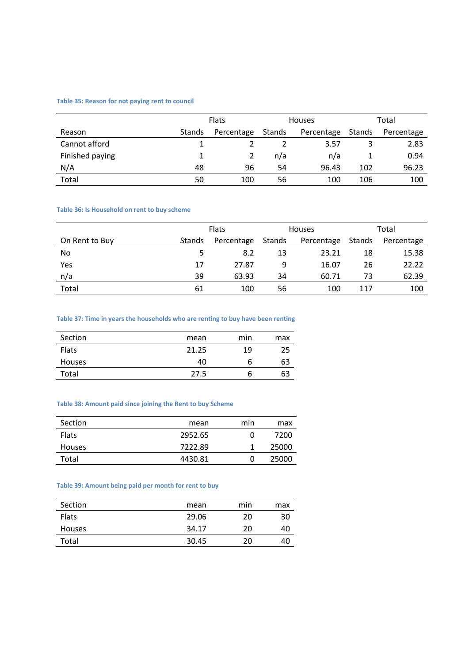#### **Table 35: Reason for not paying rent to council**

|                 | <b>Flats</b> |            | <b>Houses</b> |            | Total  |            |
|-----------------|--------------|------------|---------------|------------|--------|------------|
| Reason          | Stands       | Percentage | Stands        | Percentage | Stands | Percentage |
| Cannot afford   |              |            |               | 3.57       |        | 2.83       |
| Finished paying |              |            | n/a           | n/a        |        | 0.94       |
| N/A             | 48           | 96         | 54            | 96.43      | 102    | 96.23      |
| Total           | 50           | 100        | 56            | 100        | 106    | 100        |

#### **Table 36: Is Household on rent to buy scheme**

|                | Flats  |                      | <b>Houses</b> |            | Total  |            |
|----------------|--------|----------------------|---------------|------------|--------|------------|
| On Rent to Buy | Stands | Stands<br>Percentage |               | Percentage | Stands | Percentage |
| No             |        | 8.2                  | 13            | 23.21      | 18     | 15.38      |
| Yes            | 17     | 27.87                | 9             | 16.07      | 26     | 22.22      |
| n/a            | 39     | 63.93                | 34            | 60.71      | 73     | 62.39      |
| Total          | 61     | 100                  | 56            | 100        | 117    | 100        |

# **Table 37: Time in years the households who are renting to buy have been renting**

| Section       | mean  | min | max |
|---------------|-------|-----|-----|
| Flats         | 21.25 | 19  | 25  |
| <b>Houses</b> | 40    | b   | 63  |
| Total         | 27.5  | o   | 63  |

#### **Table 38: Amount paid since joining the Rent to buy Scheme**

| Section       | mean    | min | max   |
|---------------|---------|-----|-------|
| <b>Flats</b>  | 2952.65 | 0   | 7200  |
| <b>Houses</b> | 7222.89 |     | 25000 |
| Total         | 4430.81 | O   | 25000 |

# **Table 39: Amount being paid per month for rent to buy**

| Section       | mean  | min | max |
|---------------|-------|-----|-----|
| <b>Flats</b>  | 29.06 | 20  | 30  |
| <b>Houses</b> | 34.17 | 20  | 40  |
| Total         | 30.45 | 20  | 40  |
|               |       |     |     |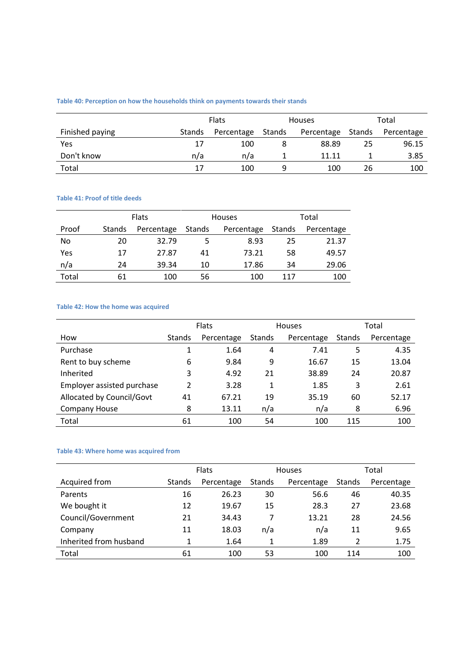# **Table 40: Perception on how the households think on payments towards their stands**

|                 |        | <b>Flats</b> |        | <b>Houses</b> |        | Total      |  |
|-----------------|--------|--------------|--------|---------------|--------|------------|--|
| Finished paying | Stands | Percentage   | Stands | Percentage    | Stands | Percentage |  |
| Yes             | 17     | 100          |        | 88.89         | 25     | 96.15      |  |
| Don't know      | n/a    | n/a          |        | 11.11         |        | 3.85       |  |
| Total           | 17     | 100          | a      | 100           | 26     | 100        |  |

# **Table 41: Proof of title deeds**

|       | <b>Flats</b> |            |        | <b>Houses</b> | Total |            |  |
|-------|--------------|------------|--------|---------------|-------|------------|--|
| Proof | Stands       | Percentage | Stands | Percentage    |       | Percentage |  |
| No    | 20           | 32.79      | 5      | 8.93          | 25    | 21.37      |  |
| Yes   | 17           | 27.87      | 41     | 73.21         | 58    | 49.57      |  |
| n/a   | 24           | 39.34      | 10     | 17.86         | 34    | 29.06      |  |
| Total | 61           | 100        | 56     | 100           | 117   | 100        |  |

# **Table 42: How the home was acquired**

|                            |                | Flats      |               | <b>Houses</b> | Total  |            |  |
|----------------------------|----------------|------------|---------------|---------------|--------|------------|--|
| How                        | <b>Stands</b>  | Percentage | <b>Stands</b> | Percentage    | Stands | Percentage |  |
| Purchase                   |                | 1.64       | 4             | 7.41          | 5      | 4.35       |  |
| Rent to buy scheme         | 6              | 9.84       | 9             | 16.67         | 15     | 13.04      |  |
| Inherited                  | 3              | 4.92       | 21            | 38.89         | 24     | 20.87      |  |
| Employer assisted purchase | $\mathfrak{p}$ | 3.28       | 1             | 1.85          | 3      | 2.61       |  |
| Allocated by Council/Govt  | 41             | 67.21      | 19            | 35.19         | 60     | 52.17      |  |
| <b>Company House</b>       | 8              | 13.11      | n/a           | n/a           | 8      | 6.96       |  |
| Total                      | 61             | 100        | 54            | 100           | 115    | 100        |  |

#### **Table 43: Where home was acquired from**

|                        |        | <b>Flats</b> |               | <b>Houses</b> |               | Total      |  |  |
|------------------------|--------|--------------|---------------|---------------|---------------|------------|--|--|
| Acquired from          | Stands | Percentage   | <b>Stands</b> | Percentage    | <b>Stands</b> | Percentage |  |  |
| Parents                | 16     | 26.23        | 30            | 56.6          | 46            | 40.35      |  |  |
| We bought it           | 12     | 19.67        | 15            | 28.3          | 27            | 23.68      |  |  |
| Council/Government     | 21     | 34.43        |               | 13.21         | 28            | 24.56      |  |  |
| Company                | 11     | 18.03        | n/a           | n/a           | 11            | 9.65       |  |  |
| Inherited from husband | 1      | 1.64         | 1             | 1.89          | 2             | 1.75       |  |  |
| Total                  | 61     | 100          | 53            | 100           | 114           | 100        |  |  |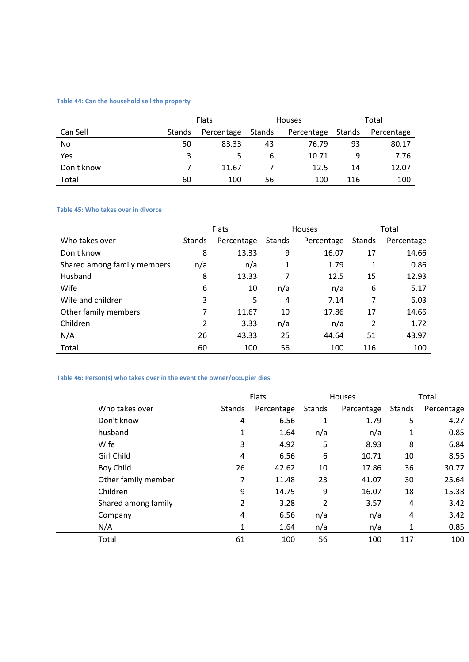# **Table 44: Can the household sell the property**

|            |        | <b>Flats</b> |        | <b>Houses</b> | Total  |            |  |
|------------|--------|--------------|--------|---------------|--------|------------|--|
| Can Sell   | Stands | Percentage   | Stands | Percentage    | Stands | Percentage |  |
| No         | 50     | 83.33        | 43     | 76.79         | 93     | 80.17      |  |
| Yes        | 3      |              | 6      | 10.71         | 9      | 7.76       |  |
| Don't know |        | 11.67        |        | 12.5          | 14     | 12.07      |  |
| Total      | 60     | 100          | 56     | 100           | 116    | 100        |  |

#### **Table 45: Who takes over in divorce**

|                             | <b>Flats</b> |            | <b>Houses</b> |            | Total  |            |
|-----------------------------|--------------|------------|---------------|------------|--------|------------|
| Who takes over              | Stands       | Percentage | <b>Stands</b> | Percentage | Stands | Percentage |
| Don't know                  | 8            | 13.33      | 9             | 16.07      | 17     | 14.66      |
| Shared among family members | n/a          | n/a        | 1             | 1.79       | 1      | 0.86       |
| Husband                     | 8            | 13.33      | 7             | 12.5       | 15     | 12.93      |
| Wife                        | 6            | 10         | n/a           | n/a        | 6      | 5.17       |
| Wife and children           | 3            | 5          | 4             | 7.14       | 7      | 6.03       |
| Other family members        | 7            | 11.67      | 10            | 17.86      | 17     | 14.66      |
| Children                    | 2            | 3.33       | n/a           | n/a        | 2      | 1.72       |
| N/A                         | 26           | 43.33      | 25            | 44.64      | 51     | 43.97      |
| Total                       | 60           | 100        | 56            | 100        | 116    | 100        |

# **Table 46: Person(s) who takes over in the event the owner/occupier dies**

|                     | Flats         |            | Houses |            |              | Total      |
|---------------------|---------------|------------|--------|------------|--------------|------------|
| Who takes over      | <b>Stands</b> | Percentage | Stands | Percentage | Stands       | Percentage |
| Don't know          | 4             | 6.56       | 1      | 1.79       | 5            | 4.27       |
| husband             | 1             | 1.64       | n/a    | n/a        | $\mathbf{1}$ | 0.85       |
| Wife                | 3             | 4.92       | 5      | 8.93       | 8            | 6.84       |
| <b>Girl Child</b>   | 4             | 6.56       | 6      | 10.71      | 10           | 8.55       |
| Boy Child           | 26            | 42.62      | 10     | 17.86      | 36           | 30.77      |
| Other family member | 7             | 11.48      | 23     | 41.07      | 30           | 25.64      |
| Children            | 9             | 14.75      | 9      | 16.07      | 18           | 15.38      |
| Shared among family | 2             | 3.28       | 2      | 3.57       | 4            | 3.42       |
| Company             | 4             | 6.56       | n/a    | n/a        | 4            | 3.42       |
| N/A                 | 1             | 1.64       | n/a    | n/a        | 1            | 0.85       |
| Total               | 61            | 100        | 56     | 100        | 117          | 100        |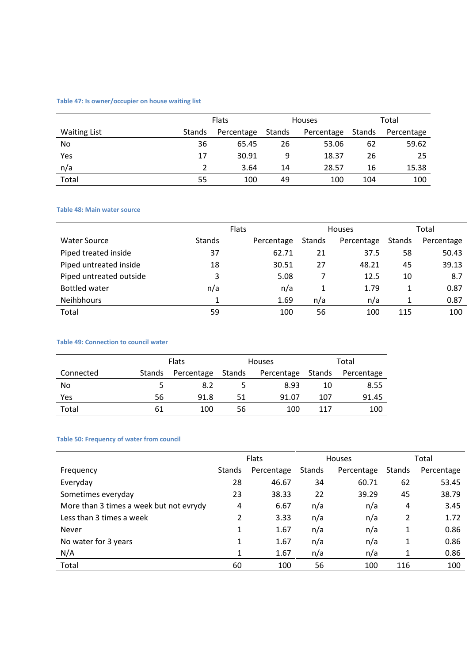# **Table 47: Is owner/occupier on house waiting list**

|                     |        | <b>Flats</b> |        | <b>Houses</b> |        | Total      |  |
|---------------------|--------|--------------|--------|---------------|--------|------------|--|
| <b>Waiting List</b> | Stands | Percentage   | Stands | Percentage    | Stands | Percentage |  |
| No                  | 36     | 65.45        | 26     | 53.06         | 62     | 59.62      |  |
| Yes                 | 17     | 30.91        | 9      | 18.37         | 26     | 25         |  |
| n/a                 |        | 3.64         | 14     | 28.57         | 16     | 15.38      |  |
| Total               | 55     | 100          | 49     | 100           | 104    | 100        |  |

### **Table 48: Main water source**

|                         |               | <b>Flats</b> |               | <b>Houses</b> | Total         |            |
|-------------------------|---------------|--------------|---------------|---------------|---------------|------------|
| <b>Water Source</b>     | <b>Stands</b> | Percentage   | <b>Stands</b> | Percentage    | <b>Stands</b> | Percentage |
| Piped treated inside    | 37            | 62.71        | 21            | 37.5          | 58            | 50.43      |
| Piped untreated inside  | 18            | 30.51        | 27            | 48.21         | 45            | 39.13      |
| Piped untreated outside | 3             | 5.08         |               | 12.5          | 10            | 8.7        |
| <b>Bottled water</b>    | n/a           | n/a          |               | 1.79          | 1             | 0.87       |
| Neihbhours              |               | 1.69         | n/a           | n/a           |               | 0.87       |
| Total                   | 59            | 100          | 56            | 100           | 115           | 100        |

# **Table 49: Connection to council water**

|           | <b>Flats</b>  |            |        | <b>Houses</b>     | Total |            |  |
|-----------|---------------|------------|--------|-------------------|-------|------------|--|
| Connected | <b>Stands</b> | Percentage | Stands | Percentage Stands |       | Percentage |  |
| No        | -5.           | 8.2        |        | 8.93              | 10    | 8.55       |  |
| Yes       | 56            | 91.8       | 51     | 91.07             | 107   | 91.45      |  |
| Total     | 61            | 100        | 56     | 100               | 117   | 100        |  |

# **Table 50: Frequency of water from council**

|                                         | Flats  |            | <b>Houses</b> |            | Total  |            |
|-----------------------------------------|--------|------------|---------------|------------|--------|------------|
| Frequency                               | Stands | Percentage | <b>Stands</b> | Percentage | Stands | Percentage |
| Everyday                                | 28     | 46.67      | 34            | 60.71      | 62     | 53.45      |
| Sometimes everyday                      | 23     | 38.33      | 22            | 39.29      | 45     | 38.79      |
| More than 3 times a week but not evrydy | 4      | 6.67       | n/a           | n/a        | 4      | 3.45       |
| Less than 3 times a week                | 2      | 3.33       | n/a           | n/a        | 2      | 1.72       |
| Never                                   | 1      | 1.67       | n/a           | n/a        | 1      | 0.86       |
| No water for 3 years                    | 1      | 1.67       | n/a           | n/a        | 1      | 0.86       |
| N/A                                     | 1      | 1.67       | n/a           | n/a        | 1      | 0.86       |
| Total                                   | 60     | 100        | 56            | 100        | 116    | 100        |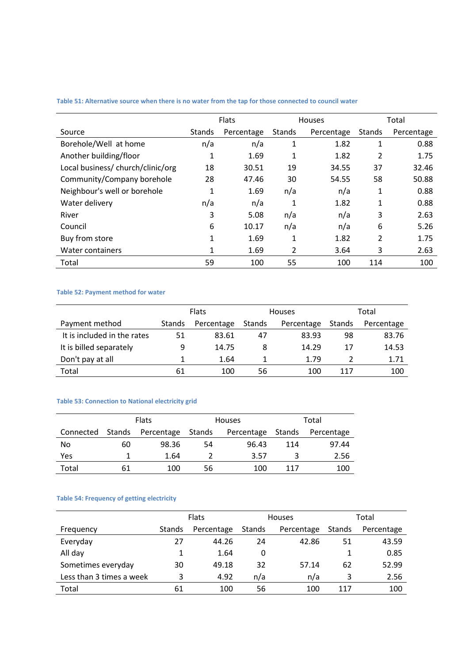|                                   | <b>Flats</b>  |            |               | <b>Houses</b> | Total  |            |  |
|-----------------------------------|---------------|------------|---------------|---------------|--------|------------|--|
| Source                            | <b>Stands</b> | Percentage | <b>Stands</b> | Percentage    | Stands | Percentage |  |
| Borehole/Well at home             | n/a           | n/a        | 1             | 1.82          | 1      | 0.88       |  |
| Another building/floor            | 1             | 1.69       | 1             | 1.82          | 2      | 1.75       |  |
| Local business/ church/clinic/org | 18            | 30.51      | 19            | 34.55         | 37     | 32.46      |  |
| Community/Company borehole        | 28            | 47.46      | 30            | 54.55         | 58     | 50.88      |  |
| Neighbour's well or borehole      | 1             | 1.69       | n/a           | n/a           | 1      | 0.88       |  |
| Water delivery                    | n/a           | n/a        | 1             | 1.82          | 1      | 0.88       |  |
| River                             | 3             | 5.08       | n/a           | n/a           | 3      | 2.63       |  |
| Council                           | 6             | 10.17      | n/a           | n/a           | 6      | 5.26       |  |
| Buy from store                    | 1             | 1.69       | 1             | 1.82          | 2      | 1.75       |  |
| Water containers                  | 1             | 1.69       | 2             | 3.64          | 3      | 2.63       |  |
| Total                             | 59            | 100        | 55            | 100           | 114    | 100        |  |

**Table 51: Alternative source when there is no water from the tap for those connected to council water**

# **Table 52: Payment method for water**

|                             |               | <b>Flats</b> |        | <b>Houses</b> | Total  |            |  |
|-----------------------------|---------------|--------------|--------|---------------|--------|------------|--|
| Payment method              | <b>Stands</b> | Percentage   | Stands | Percentage    | Stands | Percentage |  |
| It is included in the rates | 51            | 83.61        | 47     | 83.93         | 98     | 83.76      |  |
| It is billed separately     | 9             | 14.75        | 8      | 14.29         | 17     | 14.53      |  |
| Don't pay at all            |               | 1.64         |        | 1.79          |        | 1.71       |  |
| Total                       | 61            | 100          | 56     | 100           | 117    | 100        |  |

# **Table 53: Connection to National electricity grid**

|           | <b>Flats</b> |            |        | <b>Houses</b> | Total  |            |  |
|-----------|--------------|------------|--------|---------------|--------|------------|--|
| Connected | Stands       | Percentage | Stands | Percentage    | Stands | Percentage |  |
| No        | 60           | 98.36      | 54     | 96.43         | 114    | 97.44      |  |
| Yes       |              | 1.64       |        | 3.57          | ર      | 2.56       |  |
| Total     | 61           | 100        | 56     | 100           | 117    | 100        |  |

# **Table 54: Frequency of getting electricity**

|                          |               | <b>Flats</b> |        | <b>Houses</b> | Total  |            |  |
|--------------------------|---------------|--------------|--------|---------------|--------|------------|--|
| Frequency                | <b>Stands</b> | Percentage   | Stands | Percentage    | Stands | Percentage |  |
| Everyday                 | 27            | 44.26        | 24     | 42.86         | 51     | 43.59      |  |
| All day                  |               | 1.64         | 0      |               |        | 0.85       |  |
| Sometimes everyday       | 30            | 49.18        | 32     | 57.14         | 62     | 52.99      |  |
| Less than 3 times a week | 3             | 4.92         | n/a    | n/a           | 3      | 2.56       |  |
| Total                    | 61            | 100          | 56     | 100           | 117    | 100        |  |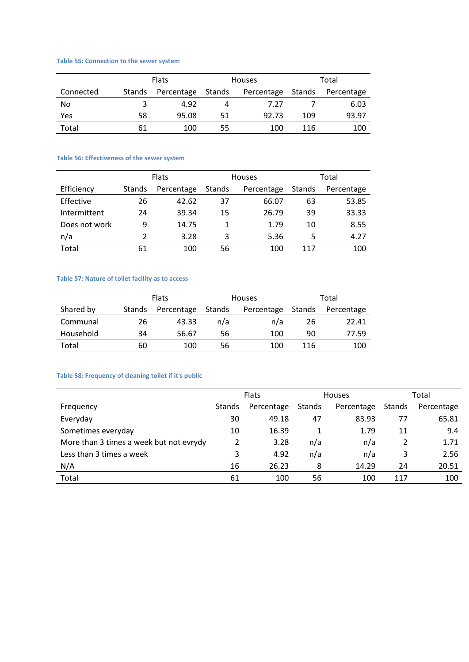# **Table 55: Connection to the sewer system**

|           | <b>Flats</b>  |                   |    | <b>Houses</b> | Total  |            |  |
|-----------|---------------|-------------------|----|---------------|--------|------------|--|
| Connected | <b>Stands</b> | Percentage Stands |    | Percentage    | Stands | Percentage |  |
| No        |               | 4.92              | 4  | 7.27          |        | 6.03       |  |
| Yes       | 58            | 95.08             | 51 | 92.73         | 109    | 93.97      |  |
| Total     | 61            | 100               | 55 | 100           | 116    | 100        |  |

#### **Table 56: Effectiveness of the sewer system**

|               | <b>Flats</b> |            |        | <b>Houses</b> | Total  |            |  |
|---------------|--------------|------------|--------|---------------|--------|------------|--|
| Efficiency    | Stands       | Percentage | Stands | Percentage    | Stands | Percentage |  |
| Effective     | 26           | 42.62      | 37     | 66.07         | 63     | 53.85      |  |
| Intermittent  | 24           | 39.34      | 15     | 26.79         | 39     | 33.33      |  |
| Does not work | 9            | 14.75      | 1      | 1.79          | 10     | 8.55       |  |
| n/a           | 2            | 3.28       | 3      | 5.36          | 5      | 4.27       |  |
| Total         | 61           | 100        | 56     | 100           | 117    | 100        |  |

#### **Table 57: Nature of toilet facility as to access**

|           | <b>Flats</b> |            |        | <b>Houses</b> | Total  |            |  |
|-----------|--------------|------------|--------|---------------|--------|------------|--|
| Shared by | Stands       | Percentage | Stands | Percentage    | Stands | Percentage |  |
| Communal  | 26           | 43.33      | n/a    | n/a           | 26     | 22.41      |  |
| Household | 34           | 56.67      | 56     | 100           | 90     | 77.59      |  |
| Total     | 60           | 100        | 56     | 100           | 116    | 100        |  |

# **Table 58: Frequency of cleaning toilet if it's public**

|                                         | <b>Flats</b> |            | <b>Houses</b> |            | Total         |            |
|-----------------------------------------|--------------|------------|---------------|------------|---------------|------------|
| Frequency                               | Stands       | Percentage | Stands        | Percentage | <b>Stands</b> | Percentage |
| Everyday                                | 30           | 49.18      | 47            | 83.93      | 77            | 65.81      |
| Sometimes everyday                      | 10           | 16.39      |               | 1.79       | 11            | 9.4        |
| More than 3 times a week but not evrydy |              | 3.28       | n/a           | n/a        | 2             | 1.71       |
| Less than 3 times a week                | 3            | 4.92       | n/a           | n/a        | 3             | 2.56       |
| N/A                                     | 16           | 26.23      | 8             | 14.29      | 24            | 20.51      |
| Total                                   | 61           | 100        | 56            | 100        | 117           | 100        |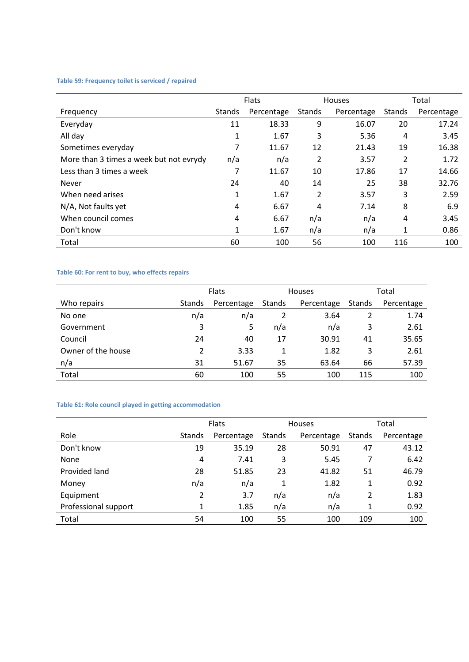# **Table 59: Frequency toilet is serviced / repaired**

|                                         | <b>Flats</b>  |            | Houses         |            | Total  |            |
|-----------------------------------------|---------------|------------|----------------|------------|--------|------------|
| Frequency                               | <b>Stands</b> | Percentage | <b>Stands</b>  | Percentage | Stands | Percentage |
| Everyday                                | 11            | 18.33      | 9              | 16.07      | 20     | 17.24      |
| All day                                 | 1             | 1.67       | 3              | 5.36       | 4      | 3.45       |
| Sometimes everyday                      | 7             | 11.67      | 12             | 21.43      | 19     | 16.38      |
| More than 3 times a week but not evrydy | n/a           | n/a        | 2              | 3.57       | 2      | 1.72       |
| Less than 3 times a week                | 7             | 11.67      | 10             | 17.86      | 17     | 14.66      |
| Never                                   | 24            | 40         | 14             | 25         | 38     | 32.76      |
| When need arises                        | 1             | 1.67       | $\overline{2}$ | 3.57       | 3      | 2.59       |
| N/A, Not faults yet                     | 4             | 6.67       | 4              | 7.14       | 8      | 6.9        |
| When council comes                      | 4             | 6.67       | n/a            | n/a        | 4      | 3.45       |
| Don't know                              | 1             | 1.67       | n/a            | n/a        | 1      | 0.86       |
| Total                                   | 60            | 100        | 56             | 100        | 116    | 100        |

# **Table 60: For rent to buy, who effects repairs**

|                    | <b>Flats</b> |            | <b>Houses</b> |            | Total         |            |
|--------------------|--------------|------------|---------------|------------|---------------|------------|
| Who repairs        | Stands       | Percentage | Stands        | Percentage | <b>Stands</b> | Percentage |
| No one             | n/a          | n/a        | 2             | 3.64       |               | 1.74       |
| Government         | 3            | 5          | n/a           | n/a        | 3             | 2.61       |
| Council            | 24           | 40         | 17            | 30.91      | 41            | 35.65      |
| Owner of the house | 2            | 3.33       |               | 1.82       | 3             | 2.61       |
| n/a                | 31           | 51.67      | 35            | 63.64      | 66            | 57.39      |
| Total              | 60           | 100        | 55            | 100        | 115           | 100        |

# **Table 61: Role council played in getting accommodation**

|                      |               | <b>Flats</b> |        | Houses     |        | Total      |  |
|----------------------|---------------|--------------|--------|------------|--------|------------|--|
| Role                 | <b>Stands</b> | Percentage   | Stands | Percentage | Stands | Percentage |  |
| Don't know           | 19            | 35.19        | 28     | 50.91      | 47     | 43.12      |  |
| None                 | 4             | 7.41         | 3      | 5.45       | 7      | 6.42       |  |
| Provided land        | 28            | 51.85        | 23     | 41.82      | 51     | 46.79      |  |
| Money                | n/a           | n/a          |        | 1.82       | 1      | 0.92       |  |
| Equipment            | 2             | 3.7          | n/a    | n/a        | 2      | 1.83       |  |
| Professional support |               | 1.85         | n/a    | n/a        | 1      | 0.92       |  |
| Total                | 54            | 100          | 55     | 100        | 109    | 100        |  |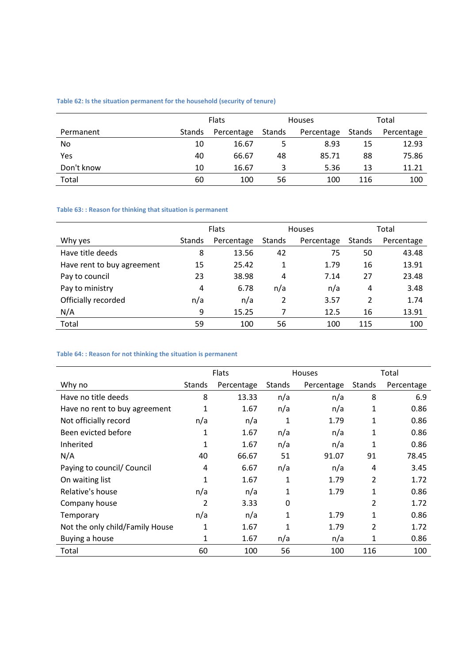# **Table 62: Is the situation permanent for the household (security of tenure)**

|            |        | <b>Flats</b> |        | <b>Houses</b> |        | Total      |  |
|------------|--------|--------------|--------|---------------|--------|------------|--|
| Permanent  | Stands | Percentage   | Stands | Percentage    | Stands | Percentage |  |
| No         | 10     | 16.67        | 5      | 8.93          | 15     | 12.93      |  |
| Yes        | 40     | 66.67        | 48     | 85.71         | 88     | 75.86      |  |
| Don't know | 10     | 16.67        | 3      | 5.36          | 13     | 11.21      |  |
| Total      | 60     | 100          | 56     | 100           | 116    | 100        |  |

# **Table 63: : Reason for thinking that situation is permanent**

|                            | <b>Flats</b>  |            | <b>Houses</b> |            | Total  |            |
|----------------------------|---------------|------------|---------------|------------|--------|------------|
| Why yes                    | <b>Stands</b> | Percentage | <b>Stands</b> | Percentage | Stands | Percentage |
| Have title deeds           | 8             | 13.56      | 42            | 75         | 50     | 43.48      |
| Have rent to buy agreement | 15            | 25.42      | 1             | 1.79       | 16     | 13.91      |
| Pay to council             | 23            | 38.98      | 4             | 7.14       | 27     | 23.48      |
| Pay to ministry            | 4             | 6.78       | n/a           | n/a        | 4      | 3.48       |
| Officially recorded        | n/a           | n/a        | 2             | 3.57       | 2      | 1.74       |
| N/A                        | 9             | 15.25      |               | 12.5       | 16     | 13.91      |
| Total                      | 59            | 100        | 56            | 100        | 115    | 100        |

# **Table 64: : Reason for not thinking the situation is permanent**

|                                 |              | Flats      |        | Houses     |               | Total      |
|---------------------------------|--------------|------------|--------|------------|---------------|------------|
| Why no                          | Stands       | Percentage | Stands | Percentage | <b>Stands</b> | Percentage |
| Have no title deeds             | 8            | 13.33      | n/a    | n/a        | 8             | 6.9        |
| Have no rent to buy agreement   | 1            | 1.67       | n/a    | n/a        | 1             | 0.86       |
| Not officially record           | n/a          | n/a        | 1      | 1.79       | 1             | 0.86       |
| Been evicted before             | 1            | 1.67       | n/a    | n/a        | 1             | 0.86       |
| Inherited                       | 1            | 1.67       | n/a    | n/a        | 1             | 0.86       |
| N/A                             | 40           | 66.67      | 51     | 91.07      | 91            | 78.45      |
| Paying to council/ Council      | 4            | 6.67       | n/a    | n/a        | 4             | 3.45       |
| On waiting list                 | 1            | 1.67       | 1      | 1.79       | 2             | 1.72       |
| Relative's house                | n/a          | n/a        | 1      | 1.79       | 1             | 0.86       |
| Company house                   | 2            | 3.33       | 0      |            | 2             | 1.72       |
| Temporary                       | n/a          | n/a        | 1      | 1.79       | 1             | 0.86       |
| Not the only child/Family House | 1            | 1.67       | 1      | 1.79       | 2             | 1.72       |
| Buying a house                  | $\mathbf{1}$ | 1.67       | n/a    | n/a        | 1             | 0.86       |
| Total                           | 60           | 100        | 56     | 100        | 116           | 100        |